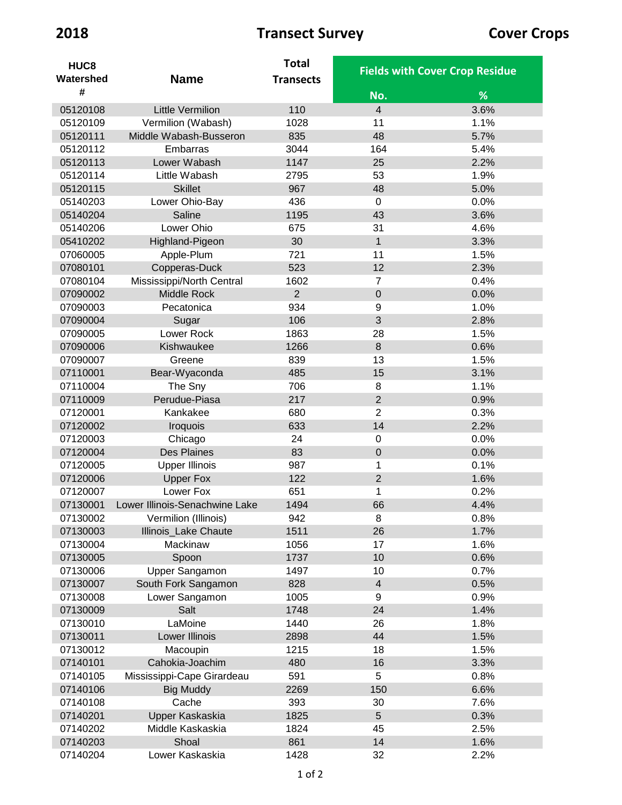| HUC <sub>8</sub> |                                | <b>Total</b>     |                |                                       |
|------------------|--------------------------------|------------------|----------------|---------------------------------------|
| Watershed        | <b>Name</b>                    | <b>Transects</b> |                | <b>Fields with Cover Crop Residue</b> |
| #                |                                |                  | No.            | %                                     |
| 05120108         | <b>Little Vermilion</b>        | 110              | $\overline{4}$ | 3.6%                                  |
| 05120109         | Vermilion (Wabash)             | 1028             | 11             | 1.1%                                  |
| 05120111         | Middle Wabash-Busseron         | 835              | 48             | 5.7%                                  |
| 05120112         | Embarras                       | 3044             | 164            | 5.4%                                  |
| 05120113         | Lower Wabash                   | 1147             | 25             | 2.2%                                  |
| 05120114         | Little Wabash                  | 2795             | 53             | 1.9%                                  |
| 05120115         | <b>Skillet</b>                 | 967              | 48             | 5.0%                                  |
| 05140203         | Lower Ohio-Bay                 | 436              | $\mathbf 0$    | 0.0%                                  |
| 05140204         | Saline                         | 1195             | 43             | 3.6%                                  |
| 05140206         | Lower Ohio                     | 675              | 31             | 4.6%                                  |
| 05410202         | Highland-Pigeon                | 30               | $\mathbf{1}$   | 3.3%                                  |
| 07060005         | Apple-Plum                     | 721              | 11             | 1.5%                                  |
| 07080101         | Copperas-Duck                  | 523              | 12             | 2.3%                                  |
| 07080104         | Mississippi/North Central      | 1602             | 7              | 0.4%                                  |
| 07090002         | Middle Rock                    | $\overline{2}$   | $\mathbf 0$    | 0.0%                                  |
| 07090003         | Pecatonica                     | 934              | $9$            | 1.0%                                  |
| 07090004         | Sugar                          | 106              | 3              | 2.8%                                  |
| 07090005         | Lower Rock                     | 1863             | 28             | 1.5%                                  |
| 07090006         | Kishwaukee                     | 1266             | $\,8\,$        | 0.6%                                  |
| 07090007         | Greene                         | 839              | 13             | 1.5%                                  |
| 07110001         | Bear-Wyaconda                  | 485              | 15             | 3.1%                                  |
| 07110004         | The Sny                        | 706              | 8              | 1.1%                                  |
| 07110009         | Perudue-Piasa                  | 217              | $\overline{2}$ | 0.9%                                  |
| 07120001         | Kankakee                       | 680              | $\overline{2}$ | 0.3%                                  |
| 07120002         | Iroquois                       | 633              | 14             | 2.2%                                  |
| 07120003         | Chicago                        | 24               | $\mathbf 0$    | 0.0%                                  |
| 07120004         | Des Plaines                    | 83               | $\mathbf 0$    | 0.0%                                  |
| 07120005         | <b>Upper Illinois</b>          | 987              | 1              | 0.1%                                  |
| 07120006         | <b>Upper Fox</b>               | 122              | $\overline{2}$ | 1.6%                                  |
| 07120007         | Lower Fox                      | 651              | 1              | 0.2%                                  |
| 07130001         | Lower Illinois-Senachwine Lake | 1494             | 66             | 4.4%                                  |
| 07130002         | Vermilion (Illinois)           | 942              | $\bf 8$        | 0.8%                                  |
| 07130003         | Illinois_Lake Chaute           | 1511             | 26             | 1.7%                                  |
| 07130004         | Mackinaw                       | 1056             | 17             | 1.6%                                  |
| 07130005         | Spoon                          | 1737             | 10             | 0.6%                                  |
| 07130006         | Upper Sangamon                 | 1497             | 10             | 0.7%                                  |
| 07130007         | South Fork Sangamon            | 828              | $\overline{4}$ | 0.5%                                  |
| 07130008         | Lower Sangamon                 | 1005             | 9              | 0.9%                                  |
| 07130009         | Salt                           | 1748             | 24             | 1.4%                                  |
| 07130010         | LaMoine                        | 1440             | 26             | 1.8%                                  |
| 07130011         | Lower Illinois                 | 2898             | 44             | 1.5%                                  |
| 07130012         | Macoupin                       | 1215             | 18             | 1.5%                                  |
| 07140101         | Cahokia-Joachim                | 480              | 16             | 3.3%                                  |
| 07140105         | Mississippi-Cape Girardeau     | 591              | 5              | 0.8%                                  |
| 07140106         | <b>Big Muddy</b>               | 2269             | 150            | 6.6%                                  |
| 07140108         | Cache                          | 393              | 30             | 7.6%                                  |
| 07140201         | Upper Kaskaskia                | 1825             | $\overline{5}$ | 0.3%                                  |
| 07140202         | Middle Kaskaskia               | 1824             | 45             | 2.5%                                  |
| 07140203         | Shoal                          | 861              | 14             | 1.6%                                  |
| 07140204         | Lower Kaskaskia                | 1428             | 32             | 2.2%                                  |